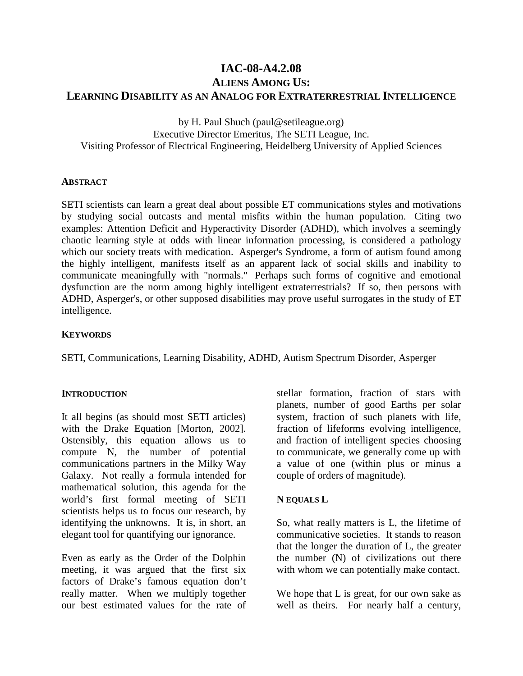# **IAC-08-A4.2.08 ALIENS AMONG US: LEARNING DISABILITY AS AN ANALOG FOR EXTRATERRESTRIAL INTELLIGENCE**

by H. Paul Shuch (paul@setileague.org) Executive Director Emeritus, The SETI League, Inc. Visiting Professor of Electrical Engineering, Heidelberg University of Applied Sciences

#### **ABSTRACT**

SETI scientists can learn a great deal about possible ET communications styles and motivations by studying social outcasts and mental misfits within the human population. Citing two examples: Attention Deficit and Hyperactivity Disorder (ADHD), which involves a seemingly chaotic learning style at odds with linear information processing, is considered a pathology which our society treats with medication. Asperger's Syndrome, a form of autism found among the highly intelligent, manifests itself as an apparent lack of social skills and inability to communicate meaningfully with "normals." Perhaps such forms of cognitive and emotional dysfunction are the norm among highly intelligent extraterrestrials? If so, then persons with ADHD, Asperger's, or other supposed disabilities may prove useful surrogates in the study of ET intelligence.

#### **KEYWORDS**

SETI, Communications, Learning Disability, ADHD, Autism Spectrum Disorder, Asperger

#### **INTRODUCTION**

It all begins (as should most SETI articles) with the Drake Equation [Morton, 2002]. Ostensibly, this equation allows us to compute N, the number of potential communications partners in the Milky Way Galaxy. Not really a formula intended for mathematical solution, this agenda for the world's first formal meeting of SETI scientists helps us to focus our research, by identifying the unknowns. It is, in short, an elegant tool for quantifying our ignorance.

Even as early as the Order of the Dolphin meeting, it was argued that the first six factors of Drake's famous equation don't really matter. When we multiply together our best estimated values for the rate of

stellar formation, fraction of stars with planets, number of good Earths per solar system, fraction of such planets with life, fraction of lifeforms evolving intelligence, and fraction of intelligent species choosing to communicate, we generally come up with a value of one (within plus or minus a couple of orders of magnitude).

#### **N EQUALS L**

So, what really matters is L, the lifetime of communicative societies. It stands to reason that the longer the duration of L, the greater the number (N) of civilizations out there with whom we can potentially make contact.

We hope that L is great, for our own sake as well as theirs. For nearly half a century,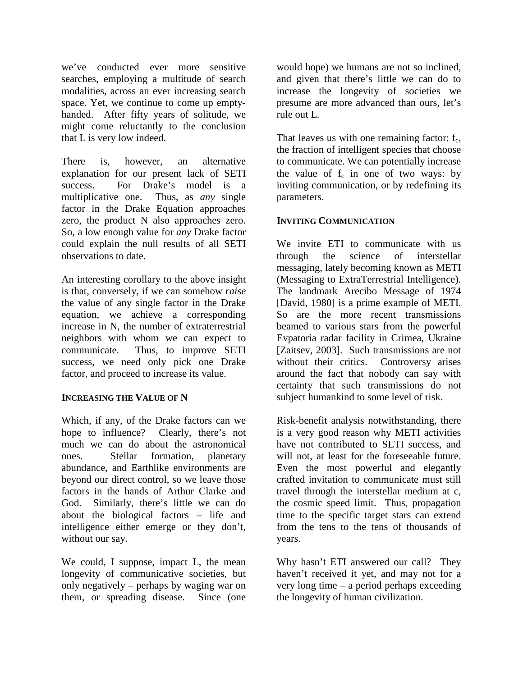we've conducted ever more sensitive searches, employing a multitude of search modalities, across an ever increasing search space. Yet, we continue to come up emptyhanded. After fifty years of solitude, we might come reluctantly to the conclusion that L is very low indeed.

There is, however, an alternative explanation for our present lack of SETI success. For Drake's model is a multiplicative one. Thus, as *any* single factor in the Drake Equation approaches zero, the product N also approaches zero. So, a low enough value for *any* Drake factor could explain the null results of all SETI observations to date.

An interesting corollary to the above insight is that, conversely, if we can somehow *raise* the value of any single factor in the Drake equation, we achieve a corresponding increase in N, the number of extraterrestrial neighbors with whom we can expect to communicate. Thus, to improve SETI success, we need only pick one Drake factor, and proceed to increase its value.

### **INCREASING THE VALUE OF N**

Which, if any, of the Drake factors can we hope to influence? Clearly, there's not much we can do about the astronomical ones. Stellar formation, planetary abundance, and Earthlike environments are beyond our direct control, so we leave those factors in the hands of Arthur Clarke and God. Similarly, there's little we can do about the biological factors – life and intelligence either emerge or they don't, without our say.

We could, I suppose, impact L, the mean longevity of communicative societies, but only negatively – perhaps by waging war on them, or spreading disease. Since (one

would hope) we humans are not so inclined, and given that there's little we can do to increase the longevity of societies we presume are more advanced than ours, let's rule out L.

That leaves us with one remaining factor:  $f_c$ , the fraction of intelligent species that choose to communicate. We can potentially increase the value of  $f_c$  in one of two ways: by inviting communication, or by redefining its parameters.

### **INVITING COMMUNICATION**

We invite ETI to communicate with us through the science of interstellar messaging, lately becoming known as METI (Messaging to ExtraTerrestrial Intelligence). The landmark Arecibo Message of 1974 [David, 1980] is a prime example of METI. So are the more recent transmissions beamed to various stars from the powerful Evpatoria radar facility in Crimea, Ukraine [Zaitsev, 2003]. Such transmissions are not without their critics. Controversy arises around the fact that nobody can say with certainty that such transmissions do not subject humankind to some level of risk.

Risk-benefit analysis notwithstanding, there is a very good reason why METI activities have not contributed to SETI success, and will not, at least for the foreseeable future. Even the most powerful and elegantly crafted invitation to communicate must still travel through the interstellar medium at c, the cosmic speed limit. Thus, propagation time to the specific target stars can extend from the tens to the tens of thousands of years.

Why hasn't ETI answered our call? They haven't received it yet, and may not for a very long time – a period perhaps exceeding the longevity of human civilization.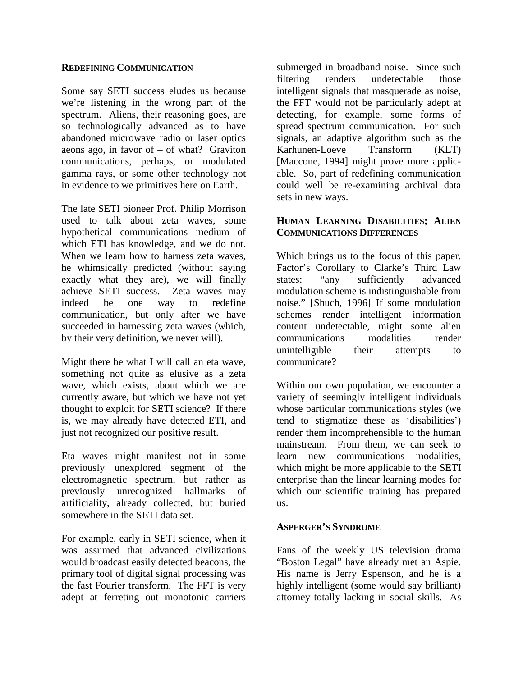#### **REDEFINING COMMUNICATION**

Some say SETI success eludes us because we're listening in the wrong part of the spectrum. Aliens, their reasoning goes, are so technologically advanced as to have abandoned microwave radio or laser optics aeons ago, in favor of – of what? Graviton communications, perhaps, or modulated gamma rays, or some other technology not in evidence to we primitives here on Earth.

The late SETI pioneer Prof. Philip Morrison used to talk about zeta waves, some hypothetical communications medium of which ETI has knowledge, and we do not. When we learn how to harness zeta waves, he whimsically predicted (without saying exactly what they are), we will finally achieve SETI success. Zeta waves may indeed be one way to redefine communication, but only after we have succeeded in harnessing zeta waves (which, by their very definition, we never will).

Might there be what I will call an eta wave, something not quite as elusive as a zeta wave, which exists, about which we are currently aware, but which we have not yet thought to exploit for SETI science? If there is, we may already have detected ETI, and just not recognized our positive result.

Eta waves might manifest not in some previously unexplored segment of the electromagnetic spectrum, but rather as previously unrecognized hallmarks of artificiality, already collected, but buried somewhere in the SETI data set.

For example, early in SETI science, when it was assumed that advanced civilizations would broadcast easily detected beacons, the primary tool of digital signal processing was the fast Fourier transform. The FFT is very adept at ferreting out monotonic carriers

submerged in broadband noise. Since such filtering renders undetectable those intelligent signals that masquerade as noise, the FFT would not be particularly adept at detecting, for example, some forms of spread spectrum communication. For such signals, an adaptive algorithm such as the Karhunen-Loeve Transform (KLT) [Maccone, 1994] might prove more applicable. So, part of redefining communication could well be re-examining archival data sets in new ways.

### **HUMAN LEARNING DISABILITIES; ALIEN COMMUNICATIONS DIFFERENCES**

Which brings us to the focus of this paper. Factor's Corollary to Clarke's Third Law states: "any sufficiently advanced modulation scheme is indistinguishable from noise." [Shuch, 1996] If some modulation schemes render intelligent information content undetectable, might some alien communications modalities render unintelligible their attempts to communicate?

Within our own population, we encounter a variety of seemingly intelligent individuals whose particular communications styles (we tend to stigmatize these as 'disabilities') render them incomprehensible to the human mainstream. From them, we can seek to learn new communications modalities, which might be more applicable to the SETI enterprise than the linear learning modes for which our scientific training has prepared us.

#### **ASPERGER'S SYNDROME**

Fans of the weekly US television drama "Boston Legal" have already met an Aspie. His name is Jerry Espenson, and he is a highly intelligent (some would say brilliant) attorney totally lacking in social skills. As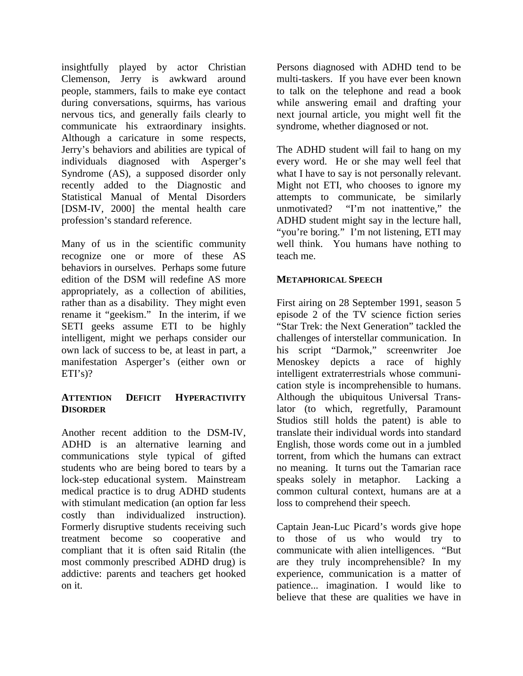insightfully played by actor Christian Clemenson, Jerry is awkward around people, stammers, fails to make eye contact during conversations, squirms, has various nervous tics, and generally fails clearly to communicate his extraordinary insights. Although a caricature in some respects, Jerry's behaviors and abilities are typical of individuals diagnosed with Asperger's Syndrome (AS), a supposed disorder only recently added to the Diagnostic and Statistical Manual of Mental Disorders [DSM-IV, 2000] the mental health care profession's standard reference.

Many of us in the scientific community recognize one or more of these AS behaviors in ourselves. Perhaps some future edition of the DSM will redefine AS more appropriately, as a collection of abilities, rather than as a disability. They might even rename it "geekism." In the interim, if we SETI geeks assume ETI to be highly intelligent, might we perhaps consider our own lack of success to be, at least in part, a manifestation Asperger's (either own or  $ETI's$ ?

### **ATTENTION DEFICIT HYPERACTIVITY DISORDER**

Another recent addition to the DSM-IV, ADHD is an alternative learning and communications style typical of gifted students who are being bored to tears by a lock-step educational system. Mainstream medical practice is to drug ADHD students with stimulant medication (an option far less costly than individualized instruction). Formerly disruptive students receiving such treatment become so cooperative and compliant that it is often said Ritalin (the most commonly prescribed ADHD drug) is addictive: parents and teachers get hooked on it.

Persons diagnosed with ADHD tend to be multi-taskers. If you have ever been known to talk on the telephone and read a book while answering email and drafting your next journal article, you might well fit the syndrome, whether diagnosed or not.

The ADHD student will fail to hang on my every word. He or she may well feel that what I have to say is not personally relevant. Might not ETI, who chooses to ignore my attempts to communicate, be similarly unmotivated? "I'm not inattentive," the ADHD student might say in the lecture hall, "you're boring." I'm not listening, ETI may well think. You humans have nothing to teach me.

### **METAPHORICAL SPEECH**

First airing on 28 September 1991, season 5 episode 2 of the TV science fiction series "Star Trek: the Next Generation" tackled the challenges of interstellar communication. In his script "Darmok," screenwriter Joe Menoskey depicts a race of highly intelligent extraterrestrials whose communication style is incomprehensible to humans. Although the ubiquitous Universal Translator (to which, regretfully, Paramount Studios still holds the patent) is able to translate their individual words into standard English, those words come out in a jumbled torrent, from which the humans can extract no meaning. It turns out the Tamarian race speaks solely in metaphor. Lacking a common cultural context, humans are at a loss to comprehend their speech.

Captain Jean-Luc Picard's words give hope to those of us who would try to communicate with alien intelligences. "But are they truly incomprehensible? In my experience, communication is a matter of patience... imagination. I would like to believe that these are qualities we have in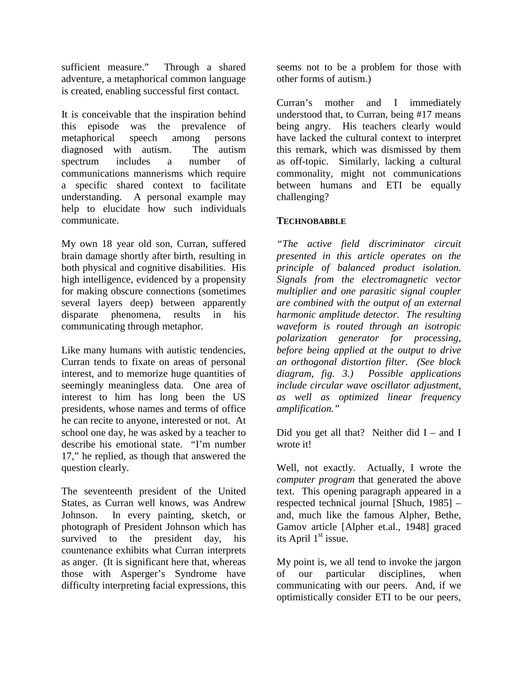sufficient measure." Through a shared adventure, a metaphorical common language is created, enabling successful first contact.

It is conceivable that the inspiration behind this episode was the prevalence of metaphorical speech among persons diagnosed with autism. The autism spectrum includes a number of communications mannerisms which require a specific shared context to facilitate understanding. A personal example may help to elucidate how such individuals communicate.

My own 18 year old son, Curran, suffered brain damage shortly after birth, resulting in both physical and cognitive disabilities. His high intelligence, evidenced by a propensity for making obscure connections (sometimes several layers deep) between apparently disparate phenomena, results in his communicating through metaphor.

Like many humans with autistic tendencies, Curran tends to fixate on areas of personal interest, and to memorize huge quantities of seemingly meaningless data. One area of interest to him has long been the US presidents, whose names and terms of office he can recite to anyone, interested or not. At school one day, he was asked by a teacher to describe his emotional state. "I'm number 17," he replied, as though that answered the question clearly.

The seventeenth president of the United States, as Curran well knows, was Andrew Johnson. In every painting, sketch, or photograph of President Johnson which has survived to the president day, his countenance exhibits what Curran interprets as anger. (It is significant here that, whereas those with Asperger's Syndrome have difficulty interpreting facial expressions, this

seems not to be a problem for those with other forms of autism.)

Curran's mother and I immediately understood that, to Curran, being #17 means being angry. His teachers clearly would have lacked the cultural context to interpret this remark, which was dismissed by them as off-topic. Similarly, lacking a cultural commonality, might not communications between humans and ETI be equally challenging?

### **TECHNOBABBLE**

*"The active field discriminator circuit presented in this article operates on the principle of balanced product isolation. Signals from the electromagnetic vector multiplier and one parasitic signal coupler are combined with the output of an external harmonic amplitude detector. The resulting waveform is routed through an isotropic polarization generator for processing, before being applied at the output to drive an orthogonal distortion filter. (See block diagram, fig. 3.) Possible applications include circular wave oscillator adjustment, as well as optimized linear frequency amplification."* 

Did you get all that? Neither did  $I -$  and I wrote it!

Well, not exactly. Actually, I wrote the *computer program* that generated the above text. This opening paragraph appeared in a respected technical journal [Shuch, 1985] – and, much like the famous Alpher, Bethe, Gamov article [Alpher et.al., 1948] graced its April  $1<sup>st</sup>$  issue.

My point is, we all tend to invoke the jargon of our particular disciplines, when communicating with our peers. And, if we optimistically consider ETI to be our peers,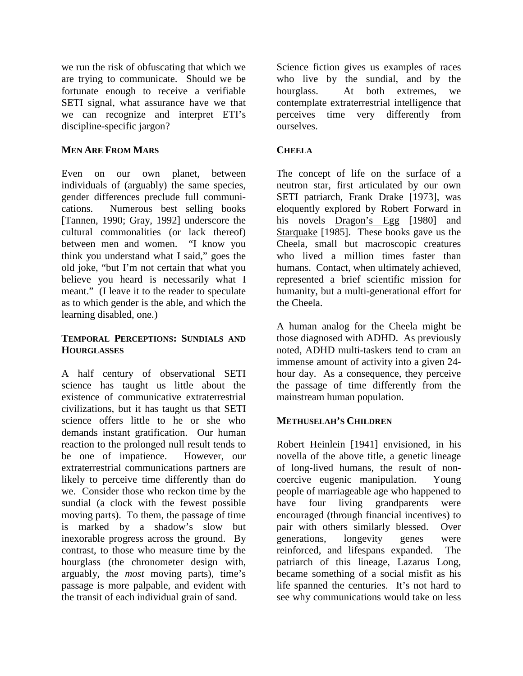we run the risk of obfuscating that which we are trying to communicate. Should we be fortunate enough to receive a verifiable SETI signal, what assurance have we that we can recognize and interpret ETI's discipline-specific jargon?

## **MEN ARE FROM MARS**

Even on our own planet, between individuals of (arguably) the same species, gender differences preclude full communications. Numerous best selling books [Tannen, 1990; Gray, 1992] underscore the cultural commonalities (or lack thereof) between men and women. "I know you think you understand what I said," goes the old joke, "but I'm not certain that what you believe you heard is necessarily what I meant." (I leave it to the reader to speculate as to which gender is the able, and which the learning disabled, one.)

### **TEMPORAL PERCEPTIONS: SUNDIALS AND HOURGLASSES**

A half century of observational SETI science has taught us little about the existence of communicative extraterrestrial civilizations, but it has taught us that SETI science offers little to he or she who demands instant gratification. Our human reaction to the prolonged null result tends to be one of impatience. However, our extraterrestrial communications partners are likely to perceive time differently than do we. Consider those who reckon time by the sundial (a clock with the fewest possible moving parts). To them, the passage of time is marked by a shadow's slow but inexorable progress across the ground. By contrast, to those who measure time by the hourglass (the chronometer design with, arguably, the *most* moving parts), time's passage is more palpable, and evident with the transit of each individual grain of sand.

Science fiction gives us examples of races who live by the sundial, and by the hourglass. At both extremes, we contemplate extraterrestrial intelligence that perceives time very differently from ourselves.

## **CHEELA**

The concept of life on the surface of a neutron star, first articulated by our own SETI patriarch, Frank Drake [1973], was eloquently explored by Robert Forward in his novels **Dragon's** Egg [1980] and Starquake [1985]. These books gave us the Cheela, small but macroscopic creatures who lived a million times faster than humans. Contact, when ultimately achieved, represented a brief scientific mission for humanity, but a multi-generational effort for the Cheela.

A human analog for the Cheela might be those diagnosed with ADHD. As previously noted, ADHD multi-taskers tend to cram an immense amount of activity into a given 24 hour day. As a consequence, they perceive the passage of time differently from the mainstream human population.

## **METHUSELAH'S CHILDREN**

Robert Heinlein [1941] envisioned, in his novella of the above title, a genetic lineage of long-lived humans, the result of noncoercive eugenic manipulation. Young people of marriageable age who happened to have four living grandparents were encouraged (through financial incentives) to pair with others similarly blessed. Over generations, longevity genes were reinforced, and lifespans expanded. The patriarch of this lineage, Lazarus Long, became something of a social misfit as his life spanned the centuries. It's not hard to see why communications would take on less